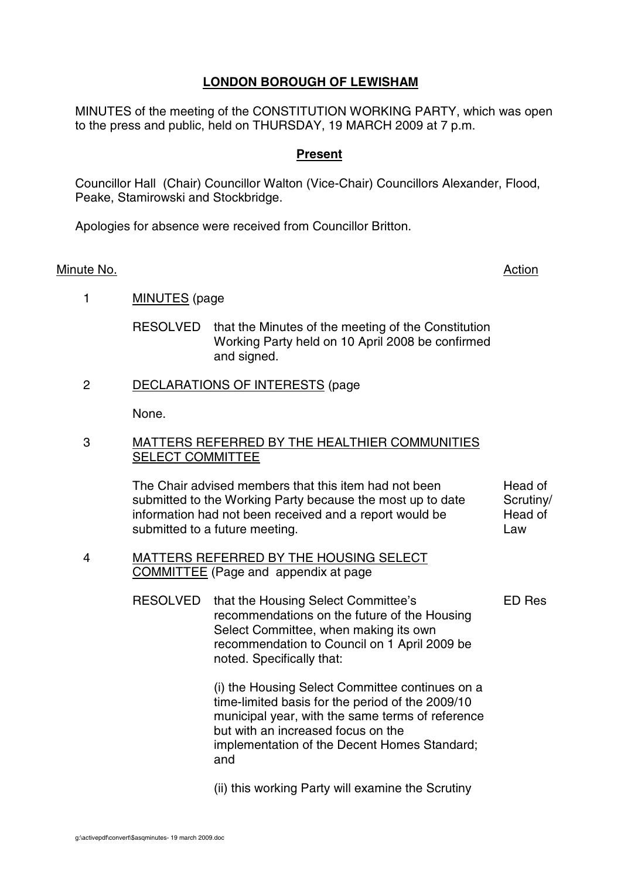# **LONDON BOROUGH OF LEWISHAM**

MINUTES of the meeting of the CONSTITUTION WORKING PARTY, which was open to the press and public, held on THURSDAY, 19 MARCH 2009 at 7 p.m.

### **Present**

Councillor Hall (Chair) Councillor Walton (Vice-Chair) Councillors Alexander, Flood, Peake, Stamirowski and Stockbridge.

Apologies for absence were received from Councillor Britton.

#### Minute No. **Action**

1 MINUTES (page

RESOLVED that the Minutes of the meeting of the Constitution Working Party held on 10 April 2008 be confirmed and signed.

#### 2 DECLARATIONS OF INTERESTS (page

None.

#### 3 MATTERS REFERRED BY THE HEALTHIER COMMUNITIES SELECT COMMITTEE

The Chair advised members that this item had not been submitted to the Working Party because the most up to date information had not been received and a report would be submitted to a future meeting. Head of Scrutiny/ Head of Law

4 MATTERS REFERRED BY THE HOUSING SELECT COMMITTEE (Page and appendix at page

ED Res

RESOLVED that the Housing Select Committee's recommendations on the future of the Housing Select Committee, when making its own recommendation to Council on 1 April 2009 be noted. Specifically that:

> (i) the Housing Select Committee continues on a time-limited basis for the period of the 2009/10 municipal year, with the same terms of reference but with an increased focus on the implementation of the Decent Homes Standard; and

(ii) this working Party will examine the Scrutiny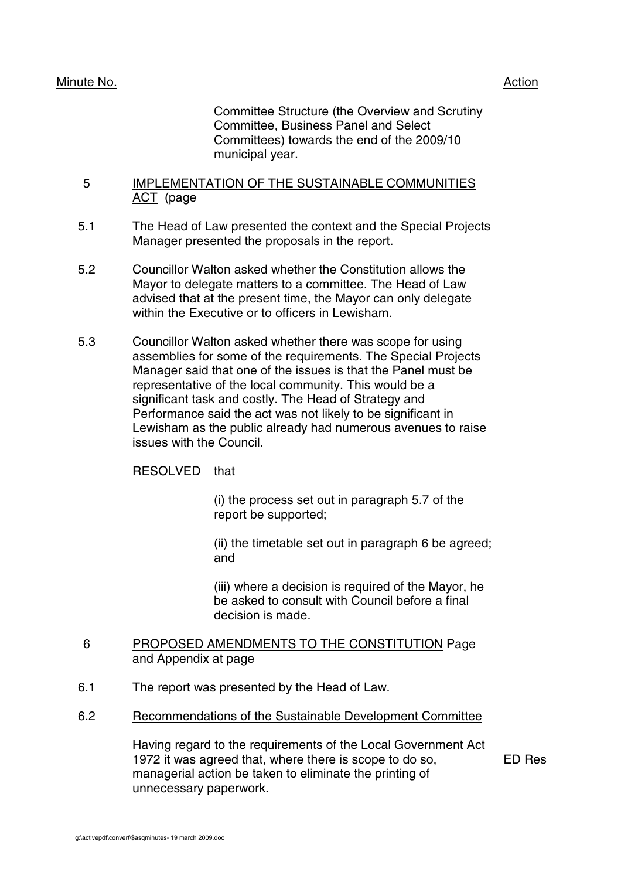# Minute No. **Action**

Committee Structure (the Overview and Scrutiny Committee, Business Panel and Select Committees) towards the end of the 2009/10 municipal year.

#### 5 IMPLEMENTATION OF THE SUSTAINABLE COMMUNITIES ACT (page

- 5.1 The Head of Law presented the context and the Special Projects Manager presented the proposals in the report.
- 5.2 Councillor Walton asked whether the Constitution allows the Mayor to delegate matters to a committee. The Head of Law advised that at the present time, the Mayor can only delegate within the Executive or to officers in Lewisham.
- 5.3 Councillor Walton asked whether there was scope for using assemblies for some of the requirements. The Special Projects Manager said that one of the issues is that the Panel must be representative of the local community. This would be a significant task and costly. The Head of Strategy and Performance said the act was not likely to be significant in Lewisham as the public already had numerous avenues to raise issues with the Council.

RESOLVED that

(i) the process set out in paragraph 5.7 of the report be supported;

(ii) the timetable set out in paragraph 6 be agreed; and

(iii) where a decision is required of the Mayor, he be asked to consult with Council before a final decision is made.

#### 6 PROPOSED AMENDMENTS TO THE CONSTITUTION Page and Appendix at page

- 6.1 The report was presented by the Head of Law.
- 6.2 Recommendations of the Sustainable Development Committee

Having regard to the requirements of the Local Government Act 1972 it was agreed that, where there is scope to do so, managerial action be taken to eliminate the printing of unnecessary paperwork.

ED Res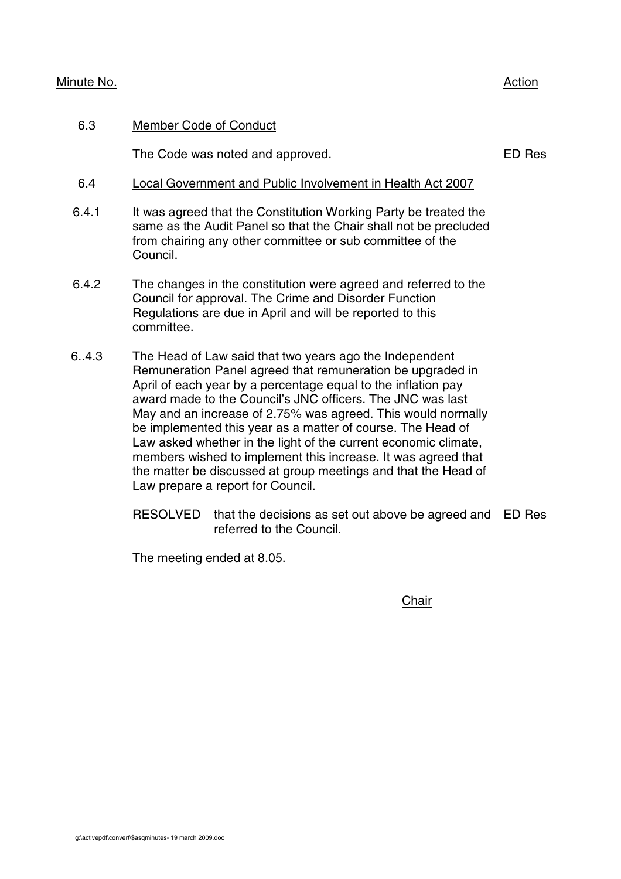### Minute No. 2008 2012 2022 2023 2024 2022 2022 2023 2024 2022 2023 2024 2022 2023 2024 2022 2023 2024 2022 2023

# 6.3 Member Code of Conduct

The Code was noted and approved. The Code was noted and approved.

# 6.4 Local Government and Public Involvement in Health Act 2007

- 6.4.1 It was agreed that the Constitution Working Party be treated the same as the Audit Panel so that the Chair shall not be precluded from chairing any other committee or sub committee of the Council.
- 6.4.2 The changes in the constitution were agreed and referred to the Council for approval. The Crime and Disorder Function Regulations are due in April and will be reported to this committee.
- 6..4.3 The Head of Law said that two years ago the Independent Remuneration Panel agreed that remuneration be upgraded in April of each year by a percentage equal to the inflation pay award made to the Council's JNC officers. The JNC was last May and an increase of 2.75% was agreed. This would normally be implemented this year as a matter of course. The Head of Law asked whether in the light of the current economic climate, members wished to implement this increase. It was agreed that the matter be discussed at group meetings and that the Head of Law prepare a report for Council.
	- RESOLVED that the decisions as set out above be agreed and ED Res referred to the Council.

The meeting ended at 8.05.

**Chair**